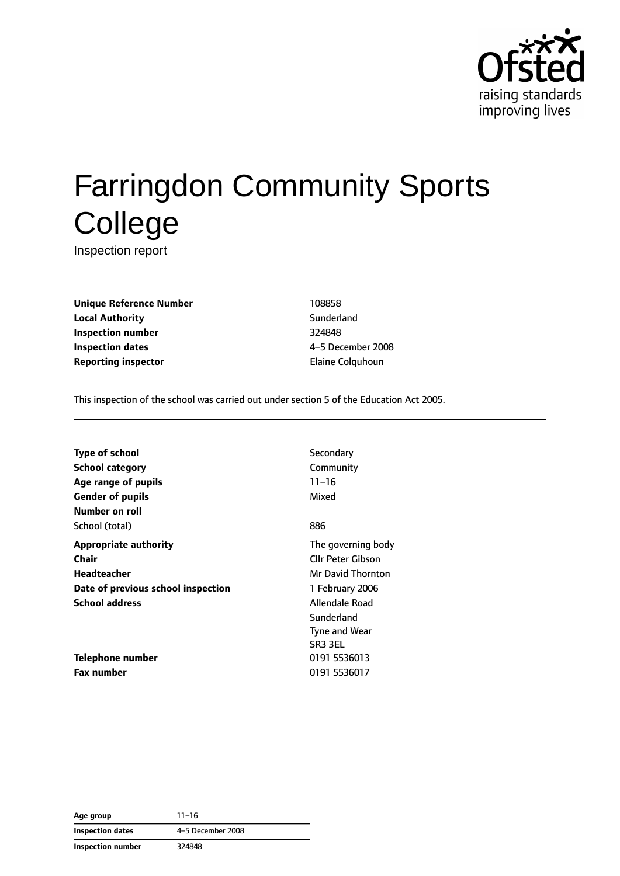

# Farringdon Community Sports **College**

Inspection report

**Unique Reference Number** 108858 **Local Authority** Sunderland **Inspection number** 324848 **Inspection dates** 4–5 December 2008 **Reporting inspector Elaine Colquhoun** 

This inspection of the school was carried out under section 5 of the Education Act 2005.

| Type of school                     | Secondary            |
|------------------------------------|----------------------|
| <b>School category</b>             | Community            |
| Age range of pupils                | $11 - 16$            |
| <b>Gender of pupils</b>            | Mixed                |
| Number on roll                     |                      |
| School (total)                     | 886                  |
| <b>Appropriate authority</b>       | The governing body   |
| Chair                              | Cllr Peter Gibson    |
| Headteacher                        | Mr David Thornton    |
| Date of previous school inspection | 1 February 2006      |
| <b>School address</b>              | Allendale Road       |
|                                    | Sunderland           |
|                                    | <b>Tyne and Wear</b> |
|                                    | SR <sub>3</sub> 3EL  |
| <b>Telephone number</b>            | 0191 5536013         |
| <b>Fax number</b>                  | 0191 5536017         |
|                                    |                      |

**Age group** 11–16 **Inspection dates** 4–5 December 2008 **Inspection number** 324848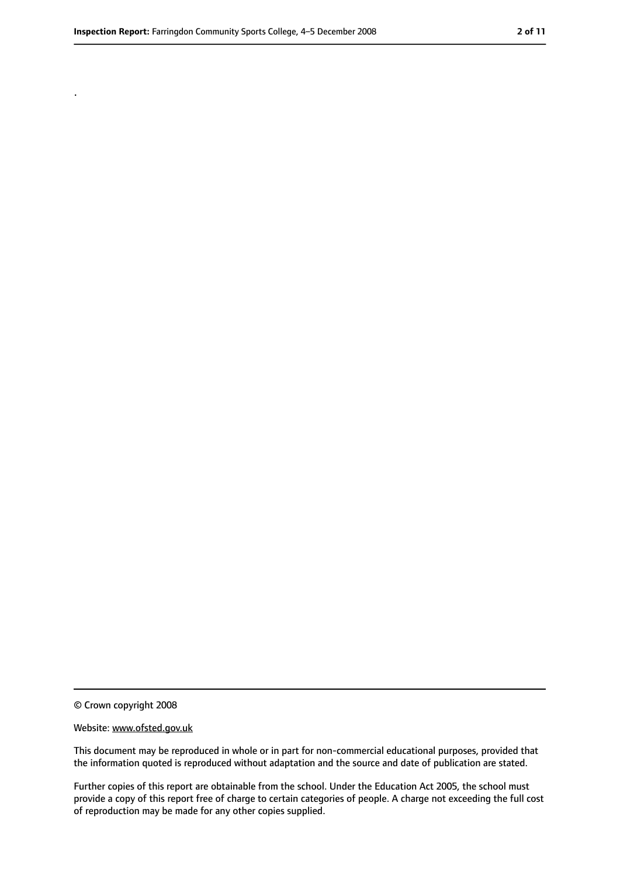.

<sup>©</sup> Crown copyright 2008

Website: www.ofsted.gov.uk

This document may be reproduced in whole or in part for non-commercial educational purposes, provided that the information quoted is reproduced without adaptation and the source and date of publication are stated.

Further copies of this report are obtainable from the school. Under the Education Act 2005, the school must provide a copy of this report free of charge to certain categories of people. A charge not exceeding the full cost of reproduction may be made for any other copies supplied.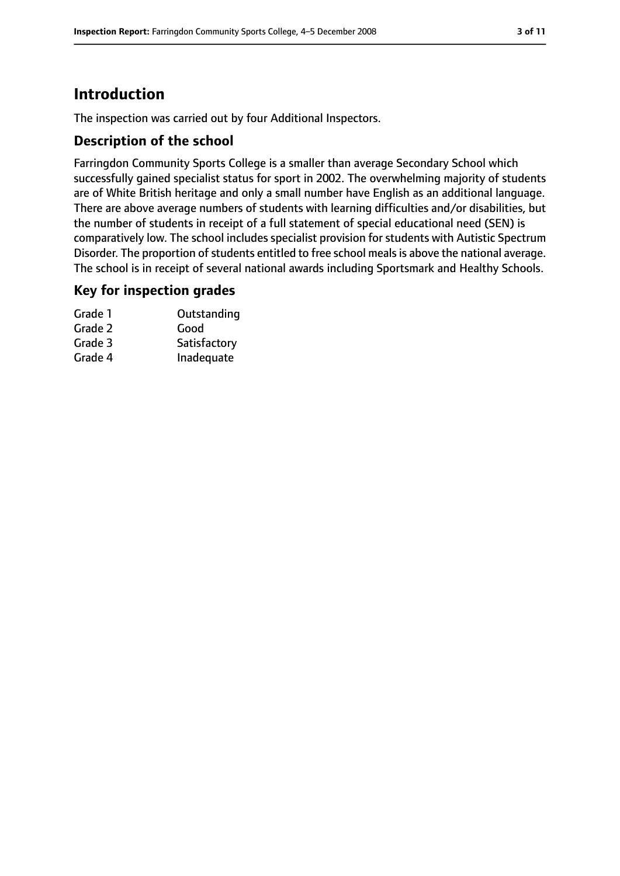# **Introduction**

The inspection was carried out by four Additional Inspectors.

#### **Description of the school**

Farringdon Community Sports College is a smaller than average Secondary School which successfully gained specialist status for sport in 2002. The overwhelming majority of students are of White British heritage and only a small number have English as an additional language. There are above average numbers of students with learning difficulties and/or disabilities, but the number of students in receipt of a full statement of special educational need (SEN) is comparatively low. The school includes specialist provision for students with Autistic Spectrum Disorder. The proportion of students entitled to free school meals is above the national average. The school is in receipt of several national awards including Sportsmark and Healthy Schools.

#### **Key for inspection grades**

| Grade 1 | Outstanding  |
|---------|--------------|
| Grade 2 | Good         |
| Grade 3 | Satisfactory |
| Grade 4 | Inadequate   |
|         |              |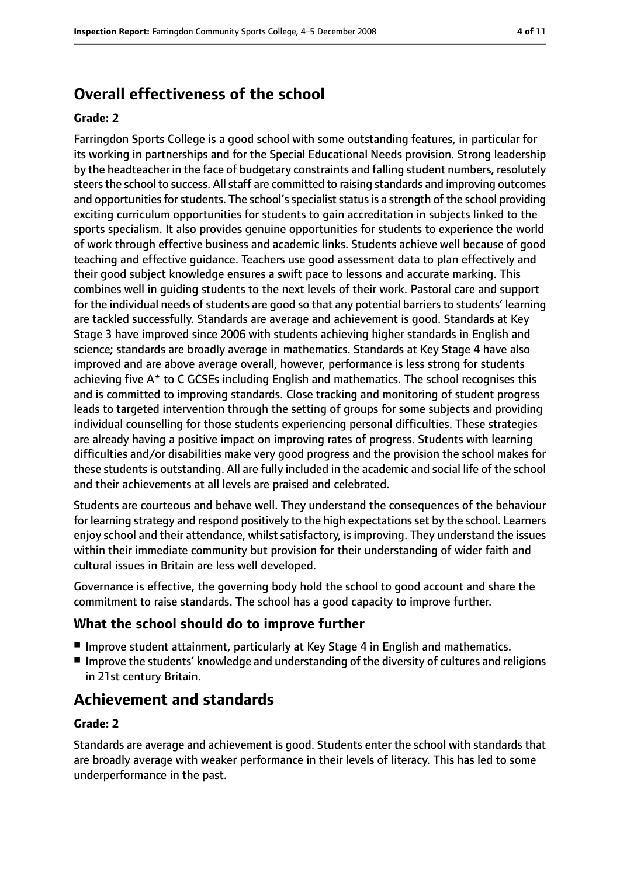## **Overall effectiveness of the school**

#### **Grade: 2**

Farringdon Sports College is a good school with some outstanding features, in particular for its working in partnerships and for the Special Educational Needs provision. Strong leadership by the headteacher in the face of budgetary constraints and falling student numbers, resolutely steers the school to success. All staff are committed to raising standards and improving outcomes and opportunities for students. The school's specialist status is a strength of the school providing exciting curriculum opportunities for students to gain accreditation in subjects linked to the sports specialism. It also provides genuine opportunities for students to experience the world of work through effective business and academic links. Students achieve well because of good teaching and effective guidance. Teachers use good assessment data to plan effectively and their good subject knowledge ensures a swift pace to lessons and accurate marking. This combines well in guiding students to the next levels of their work. Pastoral care and support for the individual needs of students are good so that any potential barriers to students' learning are tackled successfully. Standards are average and achievement is good. Standards at Key Stage 3 have improved since 2006 with students achieving higher standards in English and science; standards are broadly average in mathematics. Standards at Key Stage 4 have also improved and are above average overall, however, performance is less strong for students achieving five A\* to C GCSEs including English and mathematics. The school recognises this and is committed to improving standards. Close tracking and monitoring of student progress leads to targeted intervention through the setting of groups for some subjects and providing individual counselling for those students experiencing personal difficulties. These strategies are already having a positive impact on improving rates of progress. Students with learning difficulties and/or disabilities make very good progress and the provision the school makes for these students is outstanding. All are fully included in the academic and social life of the school and their achievements at all levels are praised and celebrated.

Students are courteous and behave well. They understand the consequences of the behaviour for learning strategy and respond positively to the high expectations set by the school. Learners enjoy school and their attendance, whilst satisfactory, is improving. They understand the issues within their immediate community but provision for their understanding of wider faith and cultural issues in Britain are less well developed.

Governance is effective, the governing body hold the school to good account and share the commitment to raise standards. The school has a good capacity to improve further.

#### **What the school should do to improve further**

- Improve student attainment, particularly at Key Stage 4 in English and mathematics.
- Improve the students' knowledge and understanding of the diversity of cultures and religions in 21st century Britain.

## **Achievement and standards**

#### **Grade: 2**

Standards are average and achievement is good. Students enter the school with standards that are broadly average with weaker performance in their levels of literacy. This has led to some underperformance in the past.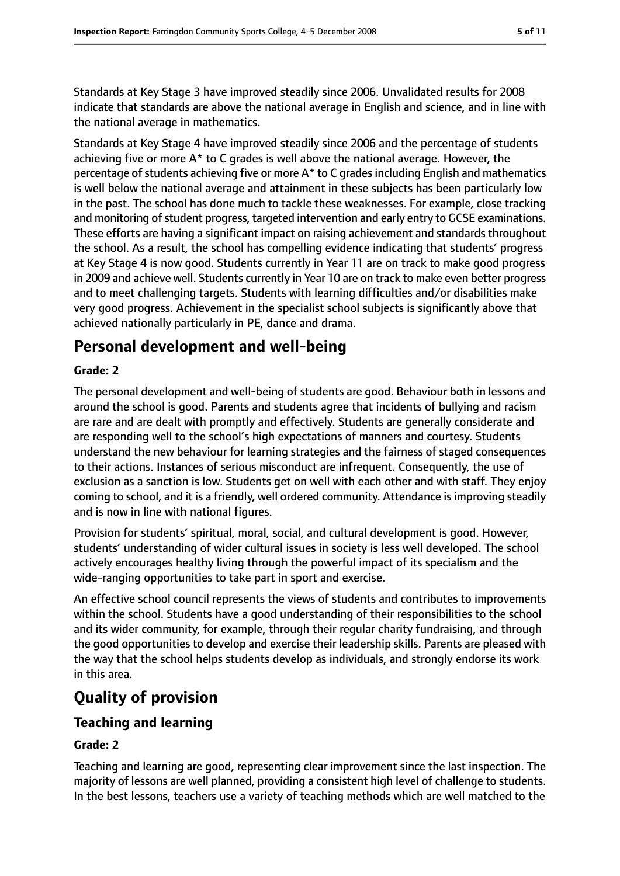Standards at Key Stage 3 have improved steadily since 2006. Unvalidated results for 2008 indicate that standards are above the national average in English and science, and in line with the national average in mathematics.

Standards at Key Stage 4 have improved steadily since 2006 and the percentage of students achieving five or more  $A^*$  to C grades is well above the national average. However, the percentage of students achieving five or more  $A^*$  to C grades including English and mathematics is well below the national average and attainment in these subjects has been particularly low in the past. The school has done much to tackle these weaknesses. For example, close tracking and monitoring of student progress, targeted intervention and early entry to GCSE examinations. These efforts are having a significant impact on raising achievement and standards throughout the school. As a result, the school has compelling evidence indicating that students' progress at Key Stage 4 is now good. Students currently in Year 11 are on track to make good progress in 2009 and achieve well. Students currently in Year 10 are on track to make even better progress and to meet challenging targets. Students with learning difficulties and/or disabilities make very good progress. Achievement in the specialist school subjects is significantly above that achieved nationally particularly in PE, dance and drama.

## **Personal development and well-being**

#### **Grade: 2**

The personal development and well-being of students are good. Behaviour both in lessons and around the school is good. Parents and students agree that incidents of bullying and racism are rare and are dealt with promptly and effectively. Students are generally considerate and are responding well to the school's high expectations of manners and courtesy. Students understand the new behaviour for learning strategies and the fairness of staged consequences to their actions. Instances of serious misconduct are infrequent. Consequently, the use of exclusion as a sanction is low. Students get on well with each other and with staff. They enjoy coming to school, and it is a friendly, well ordered community. Attendance is improving steadily and is now in line with national figures.

Provision for students' spiritual, moral, social, and cultural development is good. However, students' understanding of wider cultural issues in society is less well developed. The school actively encourages healthy living through the powerful impact of its specialism and the wide-ranging opportunities to take part in sport and exercise.

An effective school council represents the views of students and contributes to improvements within the school. Students have a good understanding of their responsibilities to the school and its wider community, for example, through their regular charity fundraising, and through the good opportunities to develop and exercise their leadership skills. Parents are pleased with the way that the school helps students develop as individuals, and strongly endorse its work in this area.

## **Quality of provision**

#### **Teaching and learning**

#### **Grade: 2**

Teaching and learning are good, representing clear improvement since the last inspection. The majority of lessons are well planned, providing a consistent high level of challenge to students. In the best lessons, teachers use a variety of teaching methods which are well matched to the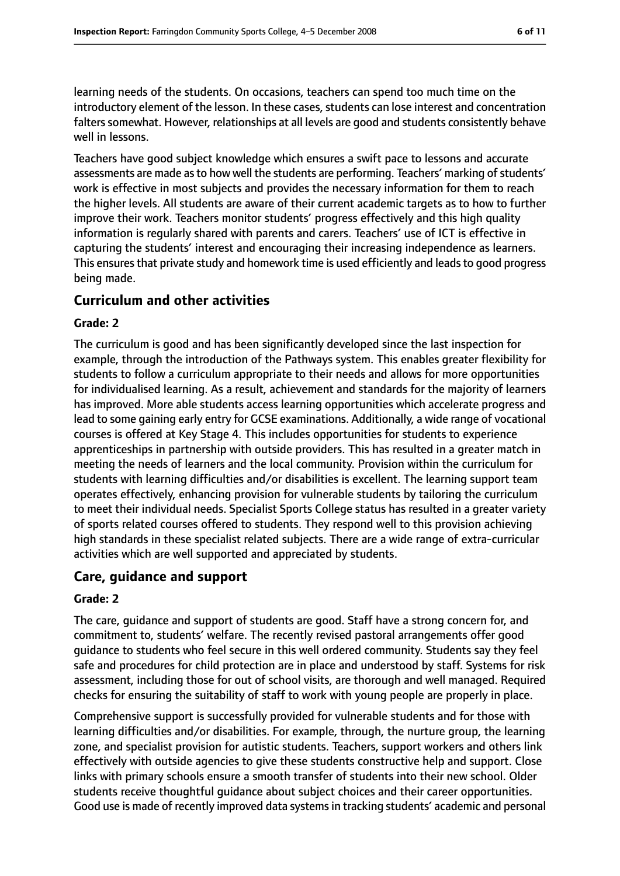learning needs of the students. On occasions, teachers can spend too much time on the introductory element of the lesson. In these cases, students can lose interest and concentration falters somewhat. However, relationships at all levels are good and students consistently behave well in lessons.

Teachers have good subject knowledge which ensures a swift pace to lessons and accurate assessments are made as to how well the students are performing. Teachers' marking of students' work is effective in most subjects and provides the necessary information for them to reach the higher levels. All students are aware of their current academic targets as to how to further improve their work. Teachers monitor students' progress effectively and this high quality information is regularly shared with parents and carers. Teachers' use of ICT is effective in capturing the students' interest and encouraging their increasing independence as learners. This ensures that private study and homework time is used efficiently and leads to good progress being made.

#### **Curriculum and other activities**

#### **Grade: 2**

The curriculum is good and has been significantly developed since the last inspection for example, through the introduction of the Pathways system. This enables greater flexibility for students to follow a curriculum appropriate to their needs and allows for more opportunities for individualised learning. As a result, achievement and standards for the majority of learners has improved. More able students access learning opportunities which accelerate progress and lead to some gaining early entry for GCSE examinations. Additionally, a wide range of vocational courses is offered at Key Stage 4. This includes opportunities for students to experience apprenticeships in partnership with outside providers. This has resulted in a greater match in meeting the needs of learners and the local community. Provision within the curriculum for students with learning difficulties and/or disabilities is excellent. The learning support team operates effectively, enhancing provision for vulnerable students by tailoring the curriculum to meet their individual needs. Specialist Sports College status has resulted in a greater variety of sports related courses offered to students. They respond well to this provision achieving high standards in these specialist related subjects. There are a wide range of extra-curricular activities which are well supported and appreciated by students.

#### **Care, guidance and support**

#### **Grade: 2**

The care, guidance and support of students are good. Staff have a strong concern for, and commitment to, students' welfare. The recently revised pastoral arrangements offer good guidance to students who feel secure in this well ordered community. Students say they feel safe and procedures for child protection are in place and understood by staff. Systems for risk assessment, including those for out of school visits, are thorough and well managed. Required checks for ensuring the suitability of staff to work with young people are properly in place.

Comprehensive support is successfully provided for vulnerable students and for those with learning difficulties and/or disabilities. For example, through, the nurture group, the learning zone, and specialist provision for autistic students. Teachers, support workers and others link effectively with outside agencies to give these students constructive help and support. Close links with primary schools ensure a smooth transfer of students into their new school. Older students receive thoughtful guidance about subject choices and their career opportunities. Good use is made of recently improved data systems in tracking students' academic and personal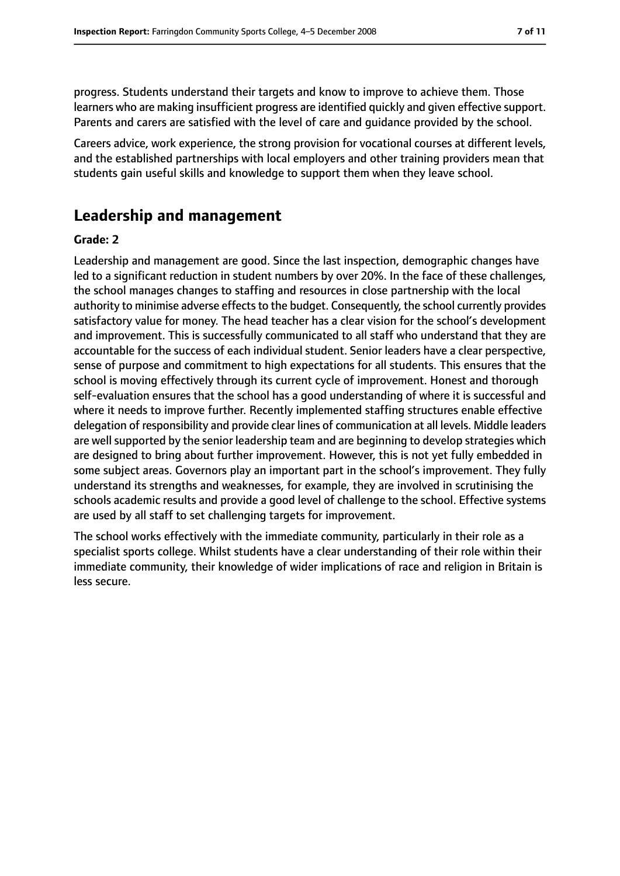progress. Students understand their targets and know to improve to achieve them. Those learners who are making insufficient progress are identified quickly and given effective support. Parents and carers are satisfied with the level of care and guidance provided by the school.

Careers advice, work experience, the strong provision for vocational courses at different levels, and the established partnerships with local employers and other training providers mean that students gain useful skills and knowledge to support them when they leave school.

## **Leadership and management**

#### **Grade: 2**

Leadership and management are good. Since the last inspection, demographic changes have led to a significant reduction in student numbers by over 20%. In the face of these challenges, the school manages changes to staffing and resources in close partnership with the local authority to minimise adverse effects to the budget. Consequently, the school currently provides satisfactory value for money. The head teacher has a clear vision for the school's development and improvement. This is successfully communicated to all staff who understand that they are accountable for the success of each individual student. Senior leaders have a clear perspective, sense of purpose and commitment to high expectations for all students. This ensures that the school is moving effectively through its current cycle of improvement. Honest and thorough self-evaluation ensures that the school has a good understanding of where it is successful and where it needs to improve further. Recently implemented staffing structures enable effective delegation of responsibility and provide clear lines of communication at all levels. Middle leaders are well supported by the senior leadership team and are beginning to develop strategies which are designed to bring about further improvement. However, this is not yet fully embedded in some subject areas. Governors play an important part in the school's improvement. They fully understand its strengths and weaknesses, for example, they are involved in scrutinising the schools academic results and provide a good level of challenge to the school. Effective systems are used by all staff to set challenging targets for improvement.

The school works effectively with the immediate community, particularly in their role as a specialist sports college. Whilst students have a clear understanding of their role within their immediate community, their knowledge of wider implications of race and religion in Britain is less secure.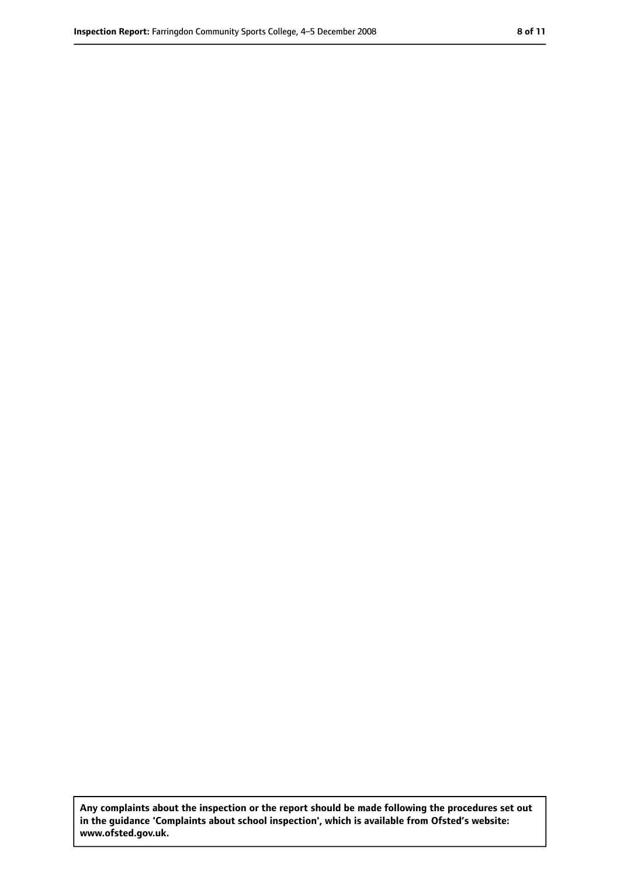**Any complaints about the inspection or the report should be made following the procedures set out in the guidance 'Complaints about school inspection', which is available from Ofsted's website: www.ofsted.gov.uk.**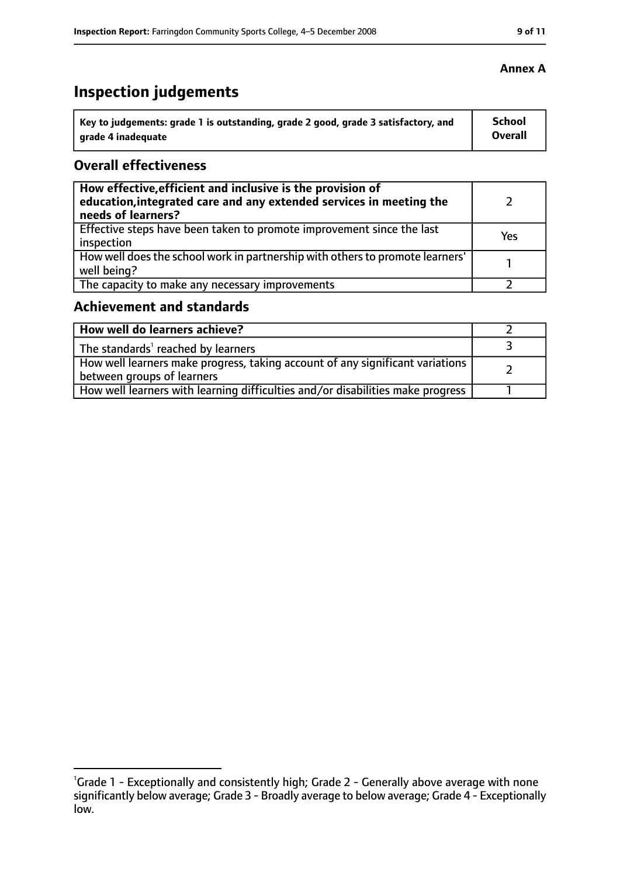# **Inspection judgements**

| Key to judgements: grade 1 is outstanding, grade 2 good, grade 3 satisfactory, and | School  |
|------------------------------------------------------------------------------------|---------|
| arade 4 inadequate                                                                 | Overall |

#### **Overall effectiveness**

| How effective, efficient and inclusive is the provision of<br>education, integrated care and any extended services in meeting the<br>needs of learners? |     |
|---------------------------------------------------------------------------------------------------------------------------------------------------------|-----|
| Effective steps have been taken to promote improvement since the last<br>inspection                                                                     | Yes |
| How well does the school work in partnership with others to promote learners'<br>well being?                                                            |     |
| The capacity to make any necessary improvements                                                                                                         |     |

## **Achievement and standards**

| How well do learners achieve?                                                                                 |  |
|---------------------------------------------------------------------------------------------------------------|--|
| The standards' reached by learners                                                                            |  |
| How well learners make progress, taking account of any significant variations  <br>between groups of learners |  |
| How well learners with learning difficulties and/or disabilities make progress                                |  |

#### **Annex A**

<sup>&</sup>lt;sup>1</sup>Grade 1 - Exceptionally and consistently high; Grade 2 - Generally above average with none significantly below average; Grade 3 - Broadly average to below average; Grade 4 - Exceptionally low.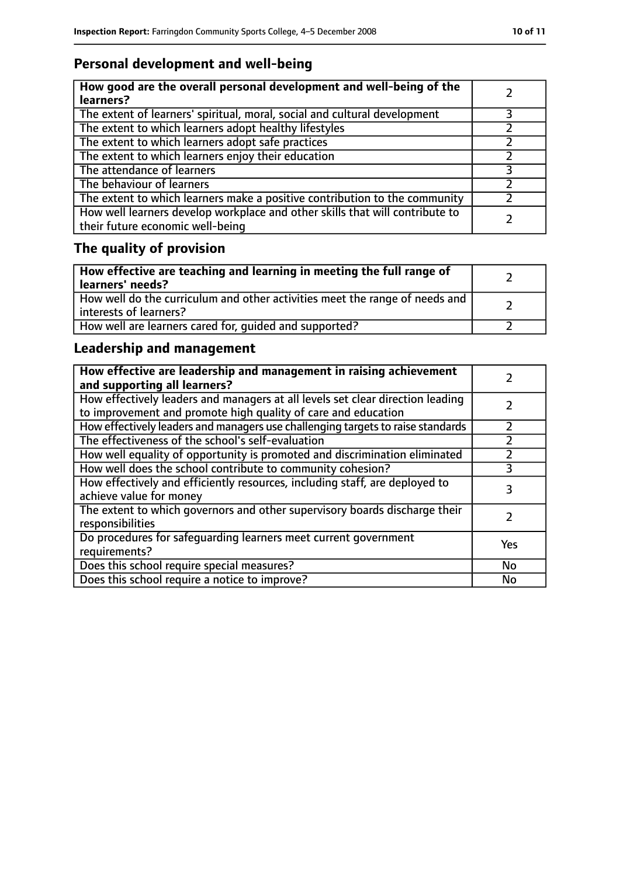## **Personal development and well-being**

| How good are the overall personal development and well-being of the<br>learners?                                 |  |
|------------------------------------------------------------------------------------------------------------------|--|
| The extent of learners' spiritual, moral, social and cultural development                                        |  |
| The extent to which learners adopt healthy lifestyles                                                            |  |
| The extent to which learners adopt safe practices                                                                |  |
| The extent to which learners enjoy their education                                                               |  |
| The attendance of learners                                                                                       |  |
| The behaviour of learners                                                                                        |  |
| The extent to which learners make a positive contribution to the community                                       |  |
| How well learners develop workplace and other skills that will contribute to<br>their future economic well-being |  |

# **The quality of provision**

| How effective are teaching and learning in meeting the full range of<br>learners' needs?              |  |
|-------------------------------------------------------------------------------------------------------|--|
| How well do the curriculum and other activities meet the range of needs and<br>interests of learners? |  |
| How well are learners cared for, quided and supported?                                                |  |

## **Leadership and management**

| How effective are leadership and management in raising achievement<br>and supporting all learners?                                              |     |
|-------------------------------------------------------------------------------------------------------------------------------------------------|-----|
| How effectively leaders and managers at all levels set clear direction leading<br>to improvement and promote high quality of care and education |     |
| How effectively leaders and managers use challenging targets to raise standards                                                                 |     |
| The effectiveness of the school's self-evaluation                                                                                               |     |
| How well equality of opportunity is promoted and discrimination eliminated                                                                      |     |
| How well does the school contribute to community cohesion?                                                                                      | 3   |
| How effectively and efficiently resources, including staff, are deployed to<br>achieve value for money                                          | 3   |
| The extent to which governors and other supervisory boards discharge their<br>responsibilities                                                  |     |
| Do procedures for safequarding learners meet current government<br>requirements?                                                                | Yes |
| Does this school require special measures?                                                                                                      | No  |
| Does this school require a notice to improve?                                                                                                   | No  |